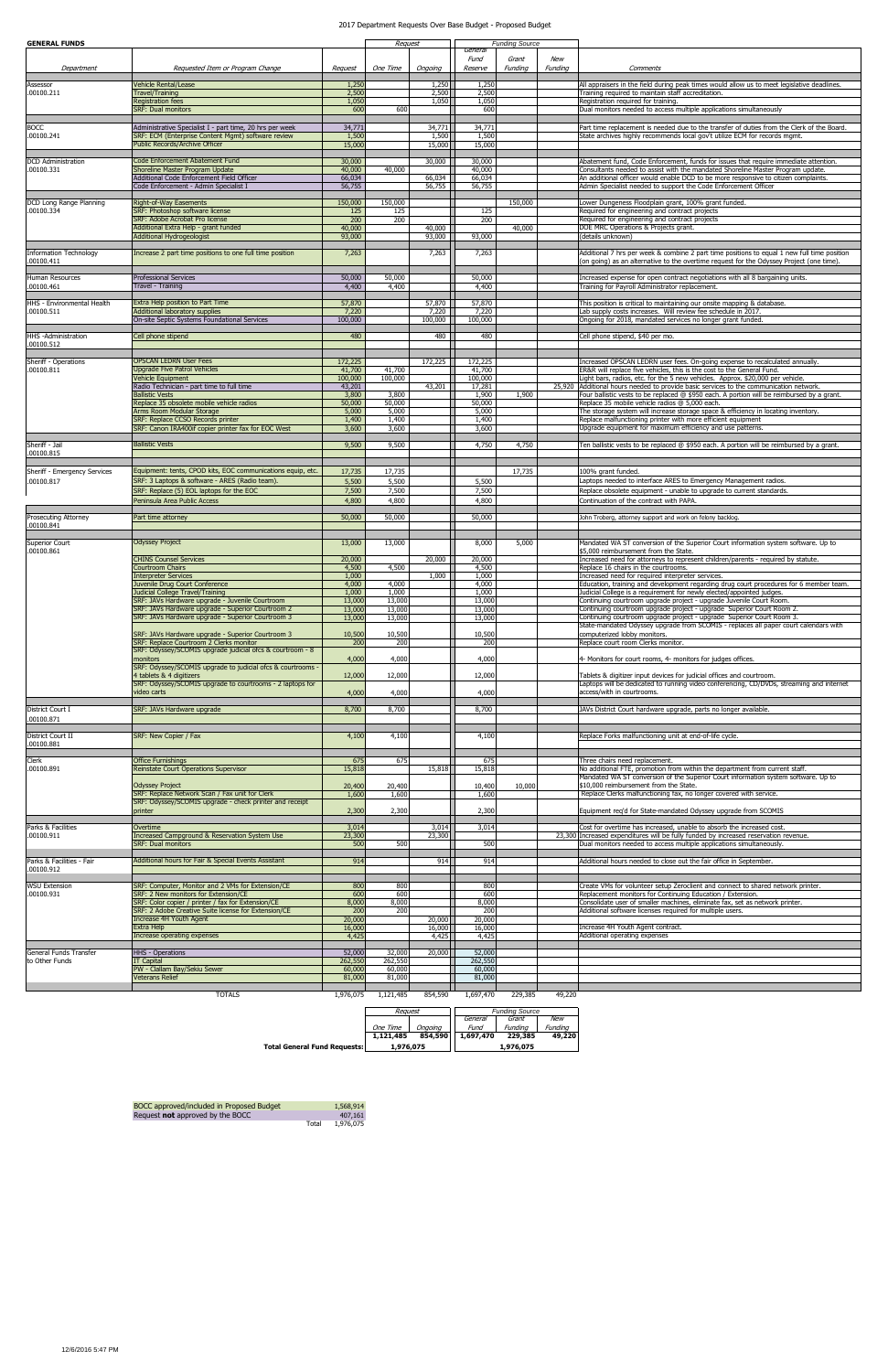| <b>GENERAL FUNDS</b>                            |                                                                                                               |                   | Request           |                 | <b>Funding Source</b> |         |         |                                                                                                                                                                          |
|-------------------------------------------------|---------------------------------------------------------------------------------------------------------------|-------------------|-------------------|-----------------|-----------------------|---------|---------|--------------------------------------------------------------------------------------------------------------------------------------------------------------------------|
|                                                 |                                                                                                               |                   |                   |                 | General<br>Fund       | Grant   | New     |                                                                                                                                                                          |
| Department                                      | Requested Item or Program Change                                                                              | Request           | One Time          | Ongoing         | Reserve               | Funding | Funding | Comments                                                                                                                                                                 |
| Assessor                                        | <b>Vehicle Rental/Lease</b>                                                                                   | 1,250             |                   | 1,250           | 1,250                 |         |         | All appraisers in the field during peak times would allow us to meet legislative deadlines.                                                                              |
| .00100.211                                      | Travel/Training<br><b>Registration fees</b>                                                                   | 2,500<br>1,050    |                   | 2,500<br>1,050  | 2,500<br>1,050        |         |         | Training required to maintain staff accreditation.<br>Registration required for training.                                                                                |
|                                                 | <b>SRF: Dual monitors</b>                                                                                     | 600               | 600               |                 | 600                   |         |         | Dual monitors needed to access multiple applications simultaneously                                                                                                      |
| <b>BOCC</b>                                     | Administrative Specialist I - part time, 20 hrs per week                                                      | 34,771            |                   | 34,771          | 34,771                |         |         | Part time replacement is needed due to the transfer of duties from the Clerk of the Board.                                                                               |
| .00100.241                                      | SRF: ECM (Enterprise Content Mgmt) software review                                                            | 1,500             |                   | 1,500           | 1,500                 |         |         | State archives highly recommends local gov't utilize ECM for records mgmt.                                                                                               |
|                                                 | Public Records/Archive Officer                                                                                | 15,000            |                   | 15,000          | 15,000                |         |         |                                                                                                                                                                          |
| <b>DCD</b> Administration                       | <b>Code Enforcement Abatement Fund</b>                                                                        | 30,000            |                   | 30,000          | 30,000                |         |         | Abatement fund, Code Enforcement, funds for issues that require immediate attention.                                                                                     |
| .00100.331                                      | Shoreline Master Program Update<br>Additional Code Enforcement Field Officer                                  | 40,000<br>66,034  | 40,000            | 66,034          | 40,000<br>66,034      |         |         | Consultants needed to assist with the mandated Shoreline Master Program update.<br>An additional officer would enable DCD to be more responsive to citizen complaints.   |
|                                                 | Code Enforcement - Admin Specialist I                                                                         | 56,755            |                   | 56,755          | 56,755                |         |         | Admin Specialist needed to support the Code Enforcement Officer                                                                                                          |
| DCD Long Range Planning                         | Right-of-Way Easements                                                                                        | 150,000           | 150,000           |                 |                       | 150,000 |         | Lower Dungeness Floodplain grant, 100% grant funded.                                                                                                                     |
| .00100.334                                      | SRF: Photoshop software license<br>SRF: Adobe Acrobat Pro license                                             | 125<br>200        | 125<br>200        |                 | 125<br>200            |         |         | Required for engineering and contract projects<br>Required for engineering and contract projects                                                                         |
|                                                 | Additional Extra Help - grant funded                                                                          | 40,000            |                   | 40,000          |                       | 40,000  |         | DOE MRC Operations & Projects grant.                                                                                                                                     |
|                                                 | <b>Additional Hydrogeologist</b>                                                                              | 93,000            |                   | 93,000          | 93,000                |         |         | (details unknown)                                                                                                                                                        |
| <b>Information Technology</b><br>.00100.411     | Increase 2 part time positions to one full time position                                                      | 7,263             |                   | 7,263           | 7,263                 |         |         | Additional 7 hrs per week & combine 2 part time positions to equal 1 new full time position                                                                              |
|                                                 |                                                                                                               |                   |                   |                 |                       |         |         | (on going) as an alternative to the overtime request for the Odyssey Project (one time).                                                                                 |
| <b>Human Resources</b><br>.00100.461            | Professional Services<br>Travel - Training                                                                    | 50,000<br>4,400   | 50,000<br>4,400   |                 | 50,000<br>4,400       |         |         | Increased expense for open contract negotiations with all 8 bargaining units.<br>Training for Payroll Administrator replacement.                                         |
|                                                 |                                                                                                               |                   |                   |                 |                       |         |         |                                                                                                                                                                          |
| <b>HHS - Environmental Health</b><br>.00100.511 | Extra Help position to Part Time<br>Additional laboratory supplies                                            | 57,870<br>7,220   |                   | 57,870<br>7,220 | 57,870<br>7,220       |         |         | This position is critical to maintaining our onsite mapping & database.<br>Lab supply costs increases. Will review fee schedule in 2017.                                 |
|                                                 | On-site Septic Systems Foundational Services                                                                  | 100,000           |                   | 100,000         | 100,000               |         |         | Ongoing for 2018, mandated services no longer grant funded.                                                                                                              |
| <b>HHS</b> - Administration                     | Cell phone stipend                                                                                            | 480               |                   | 480             | 480                   |         |         | Cell phone stipend, \$40 per mo.                                                                                                                                         |
| .00100.512                                      |                                                                                                               |                   |                   |                 |                       |         |         |                                                                                                                                                                          |
| Sheriff - Operations                            | <b>OPSCAN LEDRN User Fees</b>                                                                                 | 172,225           |                   | 172,225         | 172,225               |         |         | Increased OPSCAN LEDRN user fees. On-going expense to recalculated annually.                                                                                             |
| .00100.811                                      | <b>Upgrade Five Patrol Vehicles</b><br>Vehicle Equipment                                                      | 41,700<br>100,000 | 41,700<br>100,000 |                 | 41,700                |         |         | ER&R will replace five vehicles, this is the cost to the General Fund.                                                                                                   |
|                                                 | Radio Technician - part time to full time                                                                     | 43,201            |                   | 43,201          | 100,000<br>17,281     |         |         | Light bars, radios, etc. for the 5 new vehicles. Approx. \$20,000 per vehicle.<br>25,920 Additional hours needed to provide basic services to the communication network. |
|                                                 | <b>Ballistic Vests</b><br>Replace 35 obsolete mobile vehicle radios                                           | 3,800<br>50,000   | 3,800<br>50,000   |                 | 1,900<br>50,000       | 1,900   |         | Four ballistic vests to be replaced @ \$950 each. A portion will be reimbursed by a grant.<br>Replace 35 mobile vehicle radios @ 5,000 each.                             |
|                                                 | Arms Room Modular Storage                                                                                     | 5,000             | 5,000             |                 | 5,000                 |         |         | The storage system will increase storage space & efficiency in locating inventory.                                                                                       |
|                                                 | SRF: Replace CCSO Records printer<br>SRF: Canon IRA400if copier printer fax for EOC West                      | 1,400<br>3,600    | 1,400<br>3,600    |                 | 1,400<br>3,600        |         |         | Replace malfunctioning printer with more efficient equipment<br>Upgrade equipment for maximum efficiency and use patterns.                                               |
|                                                 |                                                                                                               |                   |                   |                 |                       |         |         |                                                                                                                                                                          |
| Sheriff - Jail<br>.00100.815                    | <b>Ballistic Vests</b>                                                                                        | 9,500             | 9,500             |                 | 4,750                 | 4,750   |         | Ten ballistic vests to be replaced @ \$950 each. A portion will be reimbursed by a grant.                                                                                |
|                                                 |                                                                                                               |                   |                   |                 |                       |         |         |                                                                                                                                                                          |
| Sheriff - Emergency Services<br>.00100.817      | Equipment: tents, CPOD kits, EOC communications equip, etc.<br>SRF: 3 Laptops & software - ARES (Radio team). | 17,735<br>5,500   | 17,735<br>5,500   |                 | 5,500                 | 17,735  |         | 100% grant funded.<br>Laptops needed to interface ARES to Emergency Management radios.                                                                                   |
|                                                 | SRF: Replace (5) EOL laptops for the EOC                                                                      | 7,500             | 7,500             |                 | 7,500                 |         |         | Replace obsolete equipment - unable to upgrade to current standards.                                                                                                     |
|                                                 | Peninsula Area Public Access                                                                                  | 4,800             | 4,800             |                 | 4,800                 |         |         | Continuation of the contract with PAPA.                                                                                                                                  |
|                                                 |                                                                                                               |                   |                   |                 |                       |         |         |                                                                                                                                                                          |
|                                                 | Part time attorney                                                                                            | 50,000            | 50,000            |                 | 50,000                |         |         | John Troberg, attorney support and work on felony backlog.                                                                                                               |
| Prosecuting Attorney<br>.00100.841              |                                                                                                               |                   |                   |                 |                       |         |         |                                                                                                                                                                          |
| <b>Superior Court</b>                           | <b>Odyssey Project</b>                                                                                        | 13,000            | 13,000            |                 | 8,000                 | 5,000   |         | Mandated WA ST conversion of the Superior Court information system software. Up to                                                                                       |
| .00100.861                                      |                                                                                                               |                   |                   |                 |                       |         |         | \$5,000 reimbursement from the State.                                                                                                                                    |
|                                                 | <b>CHINS Counsel Services</b><br><b>Courtroom Chairs</b>                                                      | 20,000<br>4,500   | 4,500             | 20,000          | 20,000<br>4,500       |         |         | Increased need for attorneys to represent children/parents - required by statute.<br>Replace 16 chairs in the courtrooms.                                                |
|                                                 | <b>Interpreter Services</b><br>Juvenile Drug Court Conference                                                 | 1,000<br>4,000    | 4,000             | 1,000           | 1,000<br>4,000        |         |         | Increased need for required interpreter services.<br>Education, training and development regarding drug court procedures for 6 member team.                              |
|                                                 | <b>Judicial College Travel/Training</b>                                                                       | 1,000             | 1,000             |                 | 1,000                 |         |         | Judicial College is a requirement for newly elected/appointed judges.                                                                                                    |
|                                                 | SRF: JAVs Hardware upgrade - Juvenile Courtroom<br>SRF: JAVs Hardware upgrade - Superior Courtroom 2          | 13,000<br>13,000  | 13,000<br>13,000  |                 | 13,000<br>13,000      |         |         | Continuing courtroom upgrade project - upgrade Juvenile Court Room.<br>Continuing courtroom upgrade project - upgrade Superior Court Room 2.                             |
|                                                 | SRF: JAVs Hardware upgrade - Superior Courtroom 3                                                             | 13,000            | 13,000            |                 | 13,000                |         |         | Continuing courtroom upgrade project - upgrade Superior Court Room 3.                                                                                                    |
|                                                 | SRF: JAVs Hardware upgrade - Superior Courtroom 3                                                             | 10,500            | 10,500            |                 | 10,500                |         |         | State-mandated Odyssey upgrade from SCOMIS - replaces all paper court calendars with<br>computerized lobby monitors.                                                     |
|                                                 | SRF: Replace Courtroom 2 Clerks monitor                                                                       | 200               | 200               |                 | 200                   |         |         | Replace court room Clerks monitor.                                                                                                                                       |
|                                                 | SRF: Odyssey/SCOMIS upgrade judicial ofcs & courtroom - 8<br>monitors                                         | 4,000             | 4,000             |                 | 4,000                 |         |         | 4- Monitors for court rooms, 4- monitors for judges offices.                                                                                                             |
|                                                 | SRF: Odyssey/SCOMIS upgrade to judicial ofcs & courtrooms -<br>4 tablets & 4 digitizers                       |                   | 12,000            |                 | 12,000                |         |         | Tablets & digitizer input devices for judicial offices and courtroom.                                                                                                    |
|                                                 | SRF: Odyssey/SCOMIS upgrade to courtrooms - 2 laptops for                                                     | 12,000            |                   |                 |                       |         |         | Laptops will be dedicated to running video conferencing, CD/DVDs, streaming and internet                                                                                 |
|                                                 | video carts                                                                                                   | 4,000             | 4,000             |                 | 4,000                 |         |         | access/with in courtrooms.                                                                                                                                               |
| District Court I                                | SRF: JAVs Hardware upgrade                                                                                    | 8,700             | 8,700             |                 | 8,700                 |         |         | JAVs District Court hardware upgrade, parts no longer available.                                                                                                         |
| .00100.871                                      |                                                                                                               |                   |                   |                 |                       |         |         |                                                                                                                                                                          |
| District Court II                               | SRF: New Copier / Fax                                                                                         | 4,100             | 4,100             |                 | 4,100                 |         |         | Replace Forks malfunctioning unit at end-of-life cycle.                                                                                                                  |
| .00100.881                                      |                                                                                                               |                   |                   |                 |                       |         |         |                                                                                                                                                                          |
| Clerk                                           | <b>Office Furnishings</b>                                                                                     | 675               | 675               |                 | 675                   |         |         | Three chairs need replacement.                                                                                                                                           |
| .00100.891                                      | Reinstate Court Operations Supervisor                                                                         | 15,818            |                   | 15,818          | 15,818                |         |         | No additional FTE, promotion from within the department from current staff.<br>Mandated WA ST conversion of the Superior Court information system software. Up to        |
|                                                 | <b>Odyssey Project</b>                                                                                        | 20,400            | 20,400            |                 | 10,400                | 10,000  |         | \$10,000 reimbursement from the State.                                                                                                                                   |
|                                                 | SRF: Replace Network Scan / Fax unit for Clerk<br>SRF: Odyssey/SCOMIS upgrade - check printer and receipt     | 1,600             | 1,600             |                 | 1,600                 |         |         | Replace Clerks malfunctioning fax, no longer covered with service.                                                                                                       |
|                                                 | printer                                                                                                       | 2,300             | 2,300             |                 | 2,300                 |         |         | Equipment req'd for State-mandated Odyssey upgrade from SCOMIS                                                                                                           |
| Parks & Facilities                              | Overtime                                                                                                      | 3,014             |                   | 3,014           | 3,014                 |         |         | Cost for overtime has increased, unable to absorb the increased cost.                                                                                                    |
| .00100.911                                      | <b>Increased Campground &amp; Reservation System Use</b><br><b>SRF: Dual monitors</b>                         | 23,300<br>500     | 500               | 23,300          | 500                   |         |         | 23,300 Increased expenditures will be fully funded by increased reservation revenue.<br>Dual monitors needed to access multiple applications simultaneously.             |
|                                                 |                                                                                                               |                   |                   |                 |                       |         |         |                                                                                                                                                                          |
| Parks & Facilities - Fair<br>.00100.912         | Additional hours for Fair & Special Events Assistant                                                          | 914               |                   | 914             | 914                   |         |         | Additional hours needed to close out the fair office in September.                                                                                                       |
|                                                 |                                                                                                               |                   |                   |                 |                       |         |         |                                                                                                                                                                          |
| <b>WSU Extension</b><br>.00100.931              | SRF: Computer, Monitor and 2 VMs for Extension/CE<br>SRF: 2 New monitors for Extension/CE                     | 800<br>600        | 800<br>600        |                 | 800<br>600            |         |         | Create VMs for volunteer setup Zeroclient and connect to shared network printer.<br>Replacement monitors for Continuing Education / Extension.                           |
|                                                 | SRF: Color copier / printer / fax for Extension/CE                                                            | 8,000             | 8,000             |                 | 8,000                 |         |         | Consolidate user of smaller machines, eliminate fax, set as network printer.                                                                                             |
|                                                 | SRF: 2 Adobe Creative Suite license for Extension/CE<br>Increase 4H Youth Agent                               | 200<br>20,000     | 200               | 20,000          | 200<br>20,000         |         |         | Additional software licenses required for multiple users.                                                                                                                |
|                                                 | Extra Help<br>Increase operating expenses                                                                     | 16,000<br>4,425   |                   | 16,000<br>4,425 | 16,000<br>4,425       |         |         | Increase 4H Youth Agent contract.<br>Additional operating expenses                                                                                                       |
|                                                 |                                                                                                               |                   |                   |                 |                       |         |         |                                                                                                                                                                          |
| General Funds Transfer<br>to Other Funds        | <b>HHS - Operations</b><br><b>IT Capital</b>                                                                  | 52,000<br>262,550 | 32,000<br>262,550 | 20,000          | 52,000<br>262,550     |         |         |                                                                                                                                                                          |
|                                                 | PW - Clallam Bay/Sekiu Sewer<br><b>Veterans Relief</b>                                                        | 60,000<br>81,000  | 60,000<br>81,000  |                 | 60,000<br>81,000      |         |         |                                                                                                                                                                          |

TOTALS 1,976,075 1,121,485 854,590 1,697,470 229,385 49,220

| <b>Total General Fund Requests:</b> | 1,976,075 |         |  |                       | 1,976,075 |         |  |
|-------------------------------------|-----------|---------|--|-----------------------|-----------|---------|--|
|                                     | 1,121,485 | 854,590 |  | 1,697,470             | 229,385   | 49,220  |  |
|                                     | One Time  | Onaoina |  | Fund                  | Fundina   | Fundina |  |
|                                     |           |         |  | General               | Grant     | New     |  |
|                                     | Reauest   |         |  | <b>Fundina Source</b> |           |         |  |

| BOCC approved/included in Proposed Budget |       | 1,568,914 |
|-------------------------------------------|-------|-----------|
| Request not approved by the BOCC          |       | 407,161   |
|                                           | Total | 1,976,075 |

## 2017 Department Requests Over Base Budget - Proposed Budget